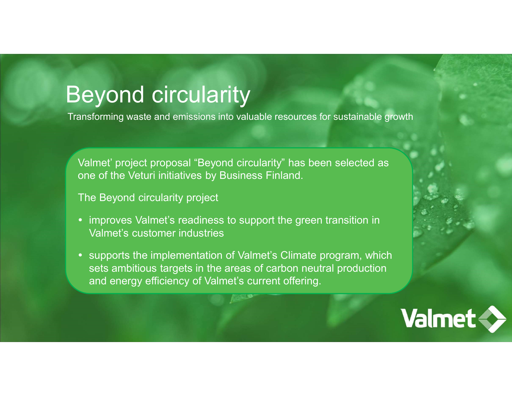## Beyond circularity

Transforming waste and emissions into valuable resources for sustainable growth

Valmet' project proposal "Beyond circularity"<br>Valmet' project proposal "Beyond circularity" has been selected as<br>one of the Veturi initiatives by Business Finland.<br>The Beyond circularity project or of the Veturi initiatives by Business Finland.<br>
Sey one of the Veturi initiatives by Business Finland.<br>
The Beyond circularity project<br>
The Beyond circularity project<br>
Sey one of the Veturi initiatives by Business Finla **isomal condity**<br> **isomal condity**<br> **Example 1998 was te and emissions into valuable resources for sustainable growth**<br> **Valmet' project reposal "Beyond circularity" has been selected as<br>
one of the Veturi initiatives by B** 

The Beyond circularity project

- 
- **CONCONT CONTICUTE SET ASSEM SET AND A SET AND A SET AND A SET ANDARK SET AND MORE THE SET AND THE SET AND THE<br>IMET Project proposal "Beyond circularity" has been selected as<br>e of the Veturi initiatives by Business Finland** • supports the implementation of Valmet's Climate program, which sets ambitious targets in the areas of carbon neutral production and energy efficiency of Valmet's current offering.

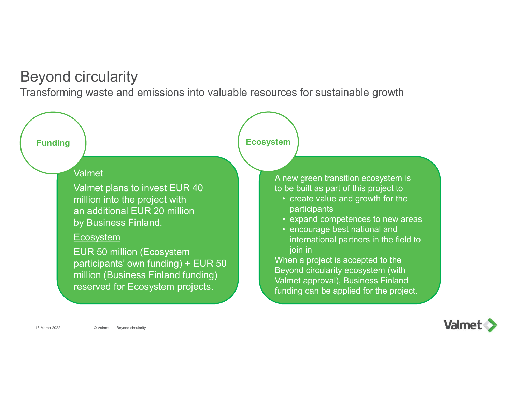## Beyond circularity

Transforming waste and emissions into valuable resources for sustainable growth



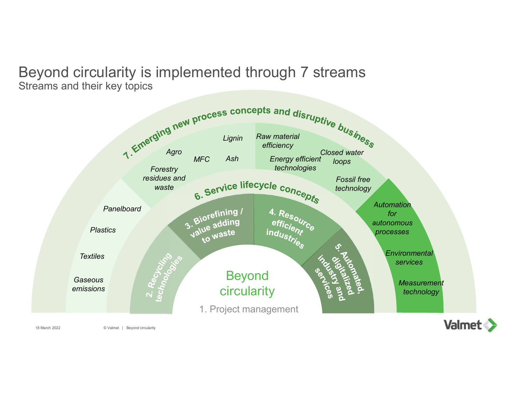## Beyond circularity is implemented through 7 streams Streams and their key topics